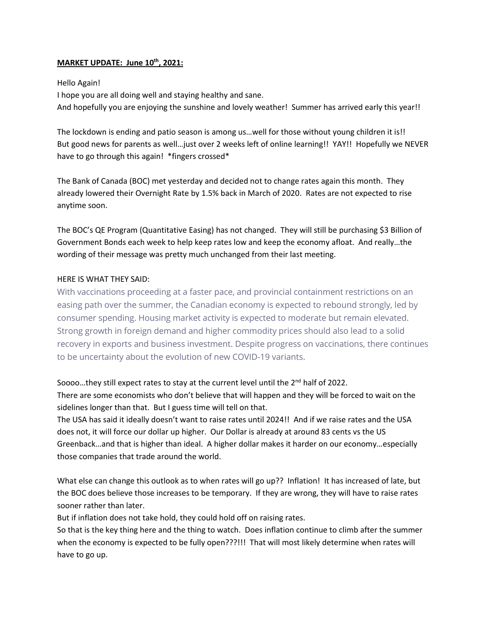## **MARKET UPDATE: June 10th, 2021:**

## Hello Again!

I hope you are all doing well and staying healthy and sane. And hopefully you are enjoying the sunshine and lovely weather! Summer has arrived early this year!!

The lockdown is ending and patio season is among us…well for those without young children it is!! But good news for parents as well…just over 2 weeks left of online learning!! YAY!! Hopefully we NEVER have to go through this again! \*fingers crossed\*

The Bank of Canada (BOC) met yesterday and decided not to change rates again this month. They already lowered their Overnight Rate by 1.5% back in March of 2020. Rates are not expected to rise anytime soon.

The BOC's QE Program (Quantitative Easing) has not changed. They will still be purchasing \$3 Billion of Government Bonds each week to help keep rates low and keep the economy afloat. And really…the wording of their message was pretty much unchanged from their last meeting.

## HERE IS WHAT THEY SAID:

With vaccinations proceeding at a faster pace, and provincial containment restrictions on an easing path over the summer, the Canadian economy is expected to rebound strongly, led by consumer spending. Housing market activity is expected to moderate but remain elevated. Strong growth in foreign demand and higher commodity prices should also lead to a solid recovery in exports and business investment. Despite progress on vaccinations, there continues to be uncertainty about the evolution of new COVID-19 variants.

Soooo... they still expect rates to stay at the current level until the  $2^{nd}$  half of 2022.

There are some economists who don't believe that will happen and they will be forced to wait on the sidelines longer than that. But I guess time will tell on that.

The USA has said it ideally doesn't want to raise rates until 2024!! And if we raise rates and the USA does not, it will force our dollar up higher. Our Dollar is already at around 83 cents vs the US Greenback…and that is higher than ideal. A higher dollar makes it harder on our economy…especially those companies that trade around the world.

What else can change this outlook as to when rates will go up?? Inflation! It has increased of late, but the BOC does believe those increases to be temporary. If they are wrong, they will have to raise rates sooner rather than later.

But if inflation does not take hold, they could hold off on raising rates.

So that is the key thing here and the thing to watch. Does inflation continue to climb after the summer when the economy is expected to be fully open???!!! That will most likely determine when rates will have to go up.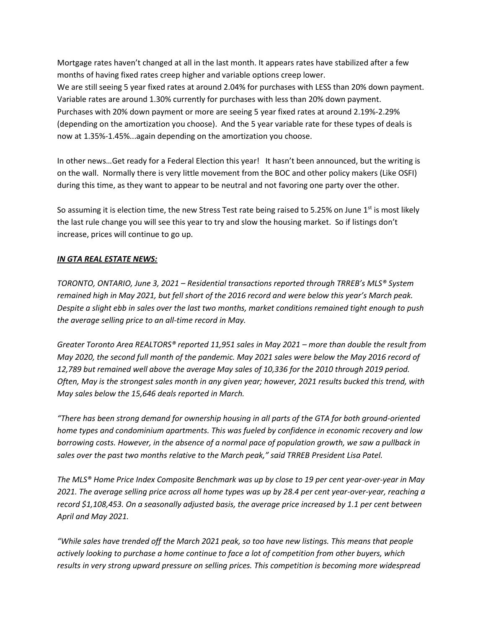Mortgage rates haven't changed at all in the last month. It appears rates have stabilized after a few months of having fixed rates creep higher and variable options creep lower. We are still seeing 5 year fixed rates at around 2.04% for purchases with LESS than 20% down payment. Variable rates are around 1.30% currently for purchases with less than 20% down payment. Purchases with 20% down payment or more are seeing 5 year fixed rates at around 2.19%-2.29% (depending on the amortization you choose). And the 5 year variable rate for these types of deals is now at 1.35%-1.45%...again depending on the amortization you choose.

In other news…Get ready for a Federal Election this year! It hasn't been announced, but the writing is on the wall. Normally there is very little movement from the BOC and other policy makers (Like OSFI) during this time, as they want to appear to be neutral and not favoring one party over the other.

So assuming it is election time, the new Stress Test rate being raised to 5.25% on June  $1<sup>st</sup>$  is most likely the last rule change you will see this year to try and slow the housing market. So if listings don't increase, prices will continue to go up.

## *IN GTA REAL ESTATE NEWS:*

*TORONTO, ONTARIO, June 3, 2021 – Residential transactions reported through TRREB's MLS® System remained high in May 2021, but fell short of the 2016 record and were below this year's March peak. Despite a slight ebb in sales over the last two months, market conditions remained tight enough to push the average selling price to an all-time record in May.* 

*Greater Toronto Area REALTORS® reported 11,951 sales in May 2021 – more than double the result from May 2020, the second full month of the pandemic. May 2021 sales were below the May 2016 record of 12,789 but remained well above the average May sales of 10,336 for the 2010 through 2019 period. Often, May is the strongest sales month in any given year; however, 2021 results bucked this trend, with May sales below the 15,646 deals reported in March.* 

*"There has been strong demand for ownership housing in all parts of the GTA for both ground-oriented home types and condominium apartments. This was fueled by confidence in economic recovery and low borrowing costs. However, in the absence of a normal pace of population growth, we saw a pullback in sales over the past two months relative to the March peak," said TRREB President Lisa Patel.* 

*The MLS® Home Price Index Composite Benchmark was up by close to 19 per cent year-over-year in May 2021. The average selling price across all home types was up by 28.4 per cent year-over-year, reaching a record \$1,108,453. On a seasonally adjusted basis, the average price increased by 1.1 per cent between April and May 2021.* 

*"While sales have trended off the March 2021 peak, so too have new listings. This means that people actively looking to purchase a home continue to face a lot of competition from other buyers, which results in very strong upward pressure on selling prices. This competition is becoming more widespread*